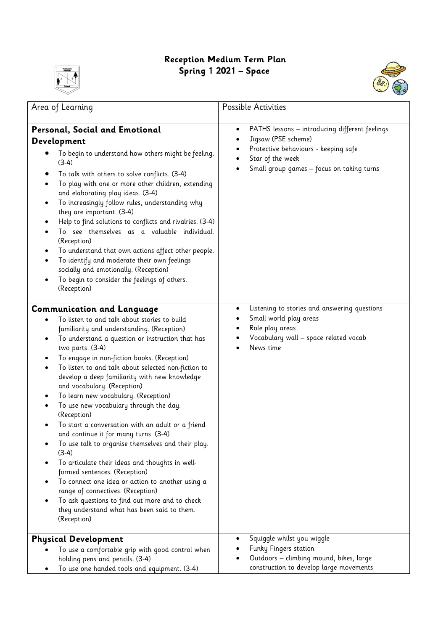## **Reception Medium Term Plan Spring 1 2021 – Space**





| Area of Learning                                                                                                                                                                                                                                                                                                                                                                                                                                                                                                                                                                                                                                                                                                                                                                                                                                                                                                                                           | Possible Activities                                                                                                                                                                                      |
|------------------------------------------------------------------------------------------------------------------------------------------------------------------------------------------------------------------------------------------------------------------------------------------------------------------------------------------------------------------------------------------------------------------------------------------------------------------------------------------------------------------------------------------------------------------------------------------------------------------------------------------------------------------------------------------------------------------------------------------------------------------------------------------------------------------------------------------------------------------------------------------------------------------------------------------------------------|----------------------------------------------------------------------------------------------------------------------------------------------------------------------------------------------------------|
| Personal, Social and Emotional<br>Development<br>To begin to understand how others might be feeling.<br>$(3-4)$<br>To talk with others to solve conflicts. (3-4)<br>To play with one or more other children, extending<br>and elaborating play ideas. (3-4)<br>To increasingly follow rules, understanding why<br>they are important. (3-4)<br>Help to find solutions to conflicts and rivalries. (3-4)<br>To see themselves as a valuable individual.<br>(Reception)<br>To understand that own actions affect other people.<br>To identify and moderate their own feelings<br>$\bullet$<br>socially and emotionally. (Reception)<br>To begin to consider the feelings of others.<br>(Reception)                                                                                                                                                                                                                                                           | PATHS lessons - introducing different feelings<br>$\bullet$<br>Jigsaw (PSE scheme)<br>$\bullet$<br>Protective behaviours - keeping safe<br>Star of the week<br>Small group games - focus on taking turns |
| <b>Communication and Language</b><br>To listen to and talk about stories to build<br>familiarity and understanding. (Reception)<br>To understand a question or instruction that has<br>two parts. (3-4)<br>To engage in non-fiction books. (Reception)<br>To listen to and talk about selected non-fiction to<br>develop a deep familiarity with new knowledge<br>and vocabulary. (Reception)<br>To learn new vocabulary. (Reception)<br>To use new vocabulary through the day.<br>(Reception)<br>To start a conversation with an adult or a friend<br>and continue it for many turns. (3-4)<br>To use talk to organise themselves and their play.<br>$(3-4)$<br>To articulate their ideas and thoughts in well-<br>formed sentences. (Reception)<br>To connect one idea or action to another using a<br>range of connectives. (Reception)<br>To ask questions to find out more and to check<br>they understand what has been said to them.<br>(Reception) | Listening to stories and answering questions<br>Small world play areas<br>Role play areas<br>Vocabulary wall - space related vocab<br>News time                                                          |
| <b>Physical Development</b><br>To use a comfortable grip with good control when<br>holding pens and pencils. (3-4)<br>To use one handed tools and equipment. (3-4)                                                                                                                                                                                                                                                                                                                                                                                                                                                                                                                                                                                                                                                                                                                                                                                         | Squiggle whilst you wiggle<br>Funky Fingers station<br>Outdoors - climbing mound, bikes, large<br>construction to develop large movements                                                                |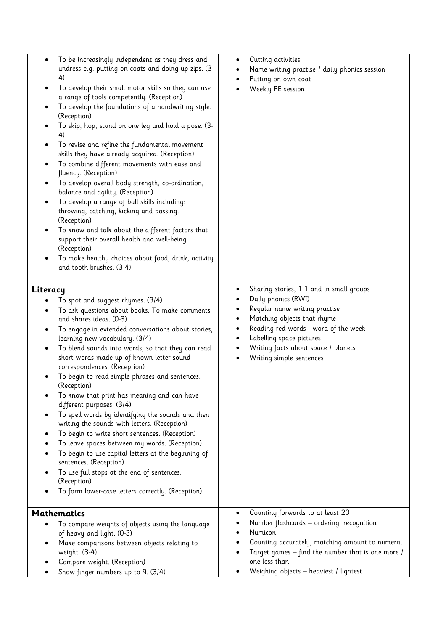| To be increasingly independent as they dress and<br>$\bullet$<br>undress e.g. putting on coats and doing up zips. (3-<br>4)<br>To develop their small motor skills so they can use<br>$\bullet$<br>a range of tools competently. (Reception)<br>To develop the foundations of a handwriting style.<br>٠<br>(Reception)<br>To skip, hop, stand on one leg and hold a pose. (3-<br>4)<br>To revise and refine the fundamental movement<br>skills they have already acquired. (Reception)<br>To combine different movements with ease and<br>٠<br>fluency. (Reception)<br>To develop overall body strength, co-ordination,<br>balance and agility. (Reception)<br>To develop a range of ball skills including:<br>٠<br>throwing, catching, kicking and passing.<br>(Reception)<br>To know and talk about the different factors that<br>$\bullet$<br>support their overall health and well-being.<br>(Reception)<br>To make healthy choices about food, drink, activity<br>$\bullet$<br>and tooth-brushes. (3-4) | Cutting activities<br>$\bullet$<br>Name writing practise / daily phonics session<br>Putting on own coat<br>٠<br>Weekly PE session                                                                                                                                                                                    |
|--------------------------------------------------------------------------------------------------------------------------------------------------------------------------------------------------------------------------------------------------------------------------------------------------------------------------------------------------------------------------------------------------------------------------------------------------------------------------------------------------------------------------------------------------------------------------------------------------------------------------------------------------------------------------------------------------------------------------------------------------------------------------------------------------------------------------------------------------------------------------------------------------------------------------------------------------------------------------------------------------------------|----------------------------------------------------------------------------------------------------------------------------------------------------------------------------------------------------------------------------------------------------------------------------------------------------------------------|
| Literacy<br>To spot and suggest rhymes. (3/4)<br>To ask questions about books. To make comments<br>and shares ideas. (0-3)<br>To engage in extended conversations about stories,<br>learning new vocabulary. (3/4)<br>To blend sounds into words, so that they can read<br>short words made up of known letter-sound<br>correspondences. (Reception)<br>To begin to read simple phrases and sentences.<br>(Reception)<br>To know that print has meaning and can have<br>different purposes. (3/4)<br>To spell words by identifying the sounds and then<br>writing the sounds with letters. (Reception)<br>To begin to write short sentences. (Reception)<br>To leave spaces between my words. (Reception)<br>To begin to use capital letters at the beginning of<br>sentences. (Reception)<br>To use full stops at the end of sentences.<br>(Reception)<br>To form lower-case letters correctly. (Reception)                                                                                                 | Sharing stories, 1:1 and in small groups<br>٠<br>Daily phonics (RWI)<br>Regular name writing practise<br>Matching objects that rhyme<br>٠<br>Reading red words - word of the week<br>$\bullet$<br>Labelling space pictures<br>٠<br>Writing facts about space / planets<br>٠<br>Writing simple sentences<br>$\bullet$ |
| <b>Mathematics</b><br>To compare weights of objects using the language<br>of heavy and light. (0-3)<br>Make comparisons between objects relating to<br>weight. (3-4)<br>Compare weight. (Reception)<br>Show finger numbers up to 9. (3/4)                                                                                                                                                                                                                                                                                                                                                                                                                                                                                                                                                                                                                                                                                                                                                                    | Counting forwards to at least 20<br>$\bullet$<br>Number flashcards - ordering, recognition<br>Numicon<br>Counting accurately, matching amount to numeral<br>Target games - find the number that is one more /<br>one less than<br>Weighing objects - heaviest / lightest                                             |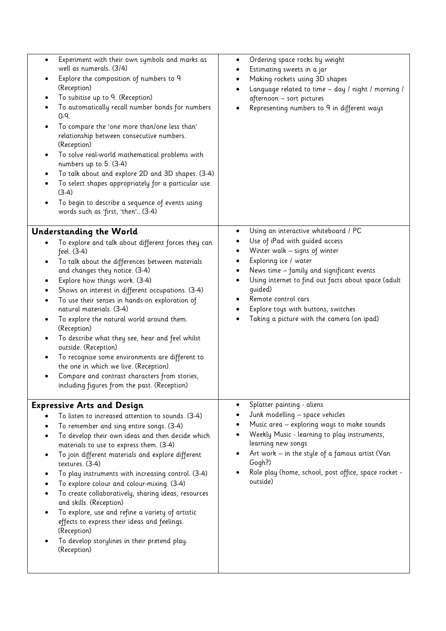| Experiment with their own symbols and marks as<br>$\bullet$<br>well as numerals. (3/4)<br>Explore the composition of numbers to 9<br>٠<br>(Reception)<br>To subitise up to 9. (Reception)<br>٠<br>To automatically recall number bonds for numbers<br>٠<br>$0 - 9.$<br>To compare the 'one more than/one less than'<br>٠<br>relationship between consecutive numbers.<br>(Reception)<br>To solve real-world mathematical problems with<br>$\bullet$<br>numbers up to 5. (3-4)<br>To talk about and explore 2D and 3D shapes. (3-4)<br>To select shapes appropriately for a particular use.<br>٠<br>$(3-4)$<br>To begin to describe a sequence of events using<br>$\bullet$<br>words such as 'first, 'then' (3-4)                         | Ordering space rocks by weight<br>٠<br>Estimating sweets in a jar<br>Making rockets using 3D shapes<br>٠<br>Language related to time - day / night / morning /<br>afternoon - sort pictures<br>Representing numbers to 9 in different ways                                                                                                                            |
|------------------------------------------------------------------------------------------------------------------------------------------------------------------------------------------------------------------------------------------------------------------------------------------------------------------------------------------------------------------------------------------------------------------------------------------------------------------------------------------------------------------------------------------------------------------------------------------------------------------------------------------------------------------------------------------------------------------------------------------|-----------------------------------------------------------------------------------------------------------------------------------------------------------------------------------------------------------------------------------------------------------------------------------------------------------------------------------------------------------------------|
| <b>Understanding the World</b><br>To explore and talk about different forces they can<br>feel. (3-4)<br>To talk about the differences between materials<br>and changes they notice. (3-4)<br>Explore how things work. (3-4)<br>٠<br>Shows an interest in different occupations. (3-4)<br>٠<br>To use their senses in hands-on exploration of<br>$\bullet$<br>natural materials. (3-4)<br>To explore the natural world around them.<br>٠<br>(Reception)<br>To describe what they see, hear and feel whilst<br>٠<br>outside. (Reception)<br>To recognise some environments are different to<br>٠<br>the one in which we live. (Reception)<br>Compare and contrast characters from stories,<br>including figures from the past. (Reception) | Using an interactive whiteboard / PC<br>٠<br>Use of iPad with guided access<br>Winter walk - signs of winter<br>Exploring ice / water<br>٠<br>News time - family and significant events<br>Using internet to find out facts about space (adult<br>quided)<br>Remote control cars<br>Explore toys with buttons, switches<br>Taking a picture with the camera (on ipad) |
| <b>Expressive Arts and Design</b><br>To listen to increased attention to sounds. (3-4)<br>To remember and sing entire songs. (3-4)<br>To develop their own ideas and then decide which<br>materials to use to express them. (3-4)<br>To join different materials and explore different<br>textures. (3-4)<br>To play instruments with increasing control. (3-4)<br>To explore colour and colour-mixing. (3-4)<br>To create collaboratively, sharing ideas, resources<br>and skills. (Reception)<br>To explore, use and refine a variety of artistic<br>effects to express their ideas and feelings.<br>(Reception)<br>To develop storylines in their pretend play.<br>(Reception)                                                        | Splatter painting - aliens<br>Junk modelling - space vehicles<br>Music area - exploring ways to make sounds<br>Weekly Music - learning to play instruments,<br>learning new songs<br>Art work $-$ in the style of a famous artist (Van<br>Gogh?)<br>Role play (home, school, post office, space rocket -<br>outside)                                                  |